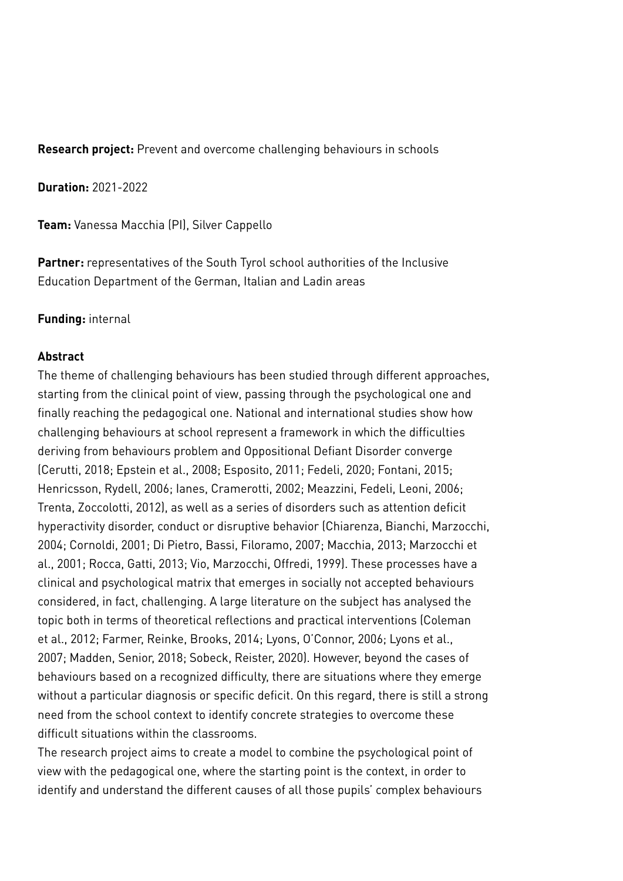**Research project:** Prevent and overcome challenging behaviours in schools

**Duration:** 2021-2022

**Team:** Vanessa Macchia (PI), Silver Cappello

Partner: representatives of the South Tyrol school authorities of the Inclusive Education Department of the German, Italian and Ladin areas

## **Funding:** internal

## **Abstract**

The theme of challenging behaviours has been studied through different approaches, starting from the clinical point of view, passing through the psychological one and finally reaching the pedagogical one. National and international studies show how challenging behaviours at school represent a framework in which the difficulties deriving from behaviours problem and Oppositional Defiant Disorder converge (Cerutti, 2018; Epstein et al., 2008; Esposito, 2011; Fedeli, 2020; Fontani, 2015; Henricsson, Rydell, 2006; Ianes, Cramerotti, 2002; Meazzini, Fedeli, Leoni, 2006; Trenta, Zoccolotti, 2012), as well as a series of disorders such as attention deficit hyperactivity disorder, conduct or disruptive behavior (Chiarenza, Bianchi, Marzocchi, 2004; Cornoldi, 2001; Di Pietro, Bassi, Filoramo, 2007; Macchia, 2013; Marzocchi et al., 2001; Rocca, Gatti, 2013; Vio, Marzocchi, Offredi, 1999). These processes have a clinical and psychological matrix that emerges in socially not accepted behaviours considered, in fact, challenging. A large literature on the subject has analysed the topic both in terms of theoretical reflections and practical interventions (Coleman et al., 2012; Farmer, Reinke, Brooks, 2014; Lyons, O'Connor, 2006; Lyons et al., 2007; Madden, Senior, 2018; Sobeck, Reister, 2020). However, beyond the cases of behaviours based on a recognized difficulty, there are situations where they emerge without a particular diagnosis or specific deficit. On this regard, there is still a strong need from the school context to identify concrete strategies to overcome these difficult situations within the classrooms.

The research project aims to create a model to combine the psychological point of view with the pedagogical one, where the starting point is the context, in order to identify and understand the different causes of all those pupils' complex behaviours